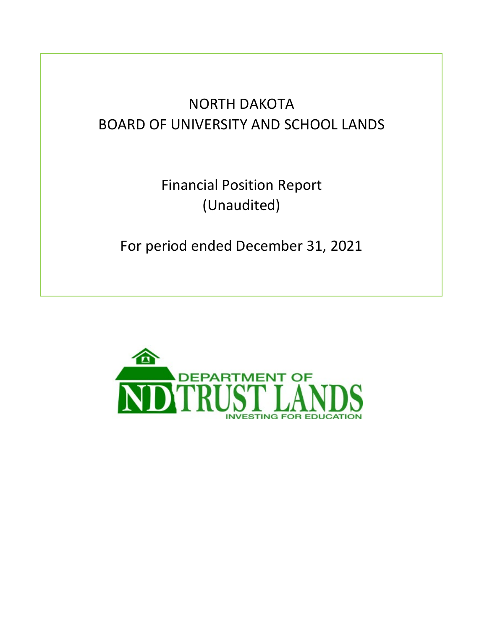# NORTH DAKOTA BOARD OF UNIVERSITY AND SCHOOL LANDS

Financial Position Report (Unaudited)

For period ended December 31, 2021

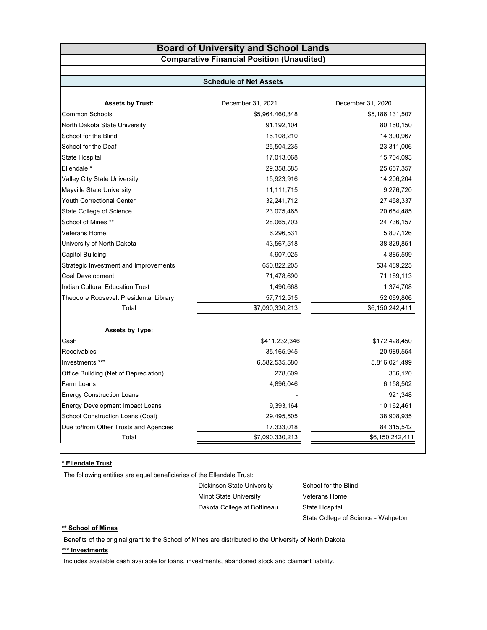### **Board of University and School Lands Comparative Financial Position (Unaudited)**

#### **Schedule of Net Assets**

| <b>Assets by Trust:</b>                | December 31, 2021 | December 31, 2020 |
|----------------------------------------|-------------------|-------------------|
| <b>Common Schools</b>                  | \$5,964,460,348   | \$5,186,131,507   |
| North Dakota State University          | 91,192,104        | 80,160,150        |
| School for the Blind                   | 16,108,210        | 14,300,967        |
| School for the Deaf                    | 25,504,235        | 23,311,006        |
| State Hospital                         | 17,013,068        | 15,704,093        |
| Ellendale <sup>*</sup>                 | 29,358,585        | 25,657,357        |
| Valley City State University           | 15,923,916        | 14,206,204        |
| Mayville State University              | 11,111,715        | 9,276,720         |
| Youth Correctional Center              | 32,241,712        | 27,458,337        |
| State College of Science               | 23,075,465        | 20,654,485        |
| School of Mines **                     | 28,065,703        | 24,736,157        |
| Veterans Home                          | 6,296,531         | 5,807,126         |
| University of North Dakota             | 43,567,518        | 38,829,851        |
| Capitol Building                       | 4,907,025         | 4,885,599         |
| Strategic Investment and Improvements  | 650,822,205       | 534,489,225       |
| Coal Development                       | 71,478,690        | 71,189,113        |
| <b>Indian Cultural Education Trust</b> | 1,490,668         | 1,374,708         |
| Theodore Roosevelt Presidental Library | 57,712,515        | 52,069,806        |
| Total                                  | \$7,090,330,213   | \$6,150,242,411   |
| <b>Assets by Type:</b>                 |                   |                   |
| Cash                                   | \$411,232,346     | \$172,428,450     |
| Receivables                            | 35, 165, 945      | 20,989,554        |
| Investments ***                        | 6,582,535,580     | 5,816,021,499     |
| Office Building (Net of Depreciation)  | 278,609           | 336,120           |
| Farm Loans                             | 4,896,046         | 6,158,502         |
| <b>Energy Construction Loans</b>       |                   | 921,348           |
| <b>Energy Development Impact Loans</b> | 9,393,164         | 10,162,461        |
| School Construction Loans (Coal)       | 29,495,505        | 38,908,935        |
| Due to/from Other Trusts and Agencies  | 17,333,018        | 84,315,542        |
| Total                                  | \$7,090,330,213   | \$6,150,242,411   |

#### **\* Ellendale Trust**

The following entities are equal beneficiaries of the Ellendale Trust:

Dickinson State University School for the Blind Minot State University **Veterans Home** Dakota College at Bottineau State Hospital

State College of Science - Wahpeton

#### **\*\* School of Mines**

Benefits of the original grant to the School of Mines are distributed to the University of North Dakota.

#### **\*\*\* Investments**

Includes available cash available for loans, investments, abandoned stock and claimant liability.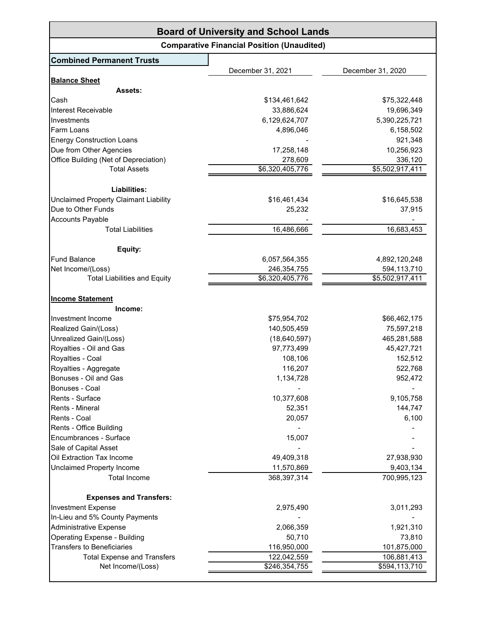| <b>Board of University and School Lands</b>  |                                                   |                   |  |
|----------------------------------------------|---------------------------------------------------|-------------------|--|
|                                              | <b>Comparative Financial Position (Unaudited)</b> |                   |  |
| <b>Combined Permanent Trusts</b>             |                                                   |                   |  |
|                                              | December 31, 2021                                 | December 31, 2020 |  |
| <b>Balance Sheet</b>                         |                                                   |                   |  |
| <b>Assets:</b>                               |                                                   |                   |  |
| Cash                                         | \$134,461,642                                     | \$75,322,448      |  |
| Interest Receivable                          | 33,886,624                                        | 19,696,349        |  |
| Investments                                  | 6,129,624,707                                     | 5,390,225,721     |  |
| Farm Loans                                   | 4,896,046                                         | 6,158,502         |  |
| <b>Energy Construction Loans</b>             |                                                   | 921,348           |  |
| Due from Other Agencies                      | 17,258,148                                        | 10,256,923        |  |
| Office Building (Net of Depreciation)        | 278,609                                           | 336,120           |  |
| <b>Total Assets</b>                          | \$6,320,405,776                                   | \$5,502,917,411   |  |
| Liabilities:                                 |                                                   |                   |  |
| <b>Unclaimed Property Claimant Liability</b> | \$16,461,434                                      | \$16,645,538      |  |
| Due to Other Funds                           | 25,232                                            | 37,915            |  |
| <b>Accounts Payable</b>                      |                                                   |                   |  |
| <b>Total Liabilities</b>                     | 16,486,666                                        | 16,683,453        |  |
|                                              |                                                   |                   |  |
| Equity:                                      |                                                   |                   |  |
| <b>Fund Balance</b>                          | 6,057,564,355                                     | 4,892,120,248     |  |
| Net Income/(Loss)                            | 246,354,755                                       | 594,113,710       |  |
| <b>Total Liabilities and Equity</b>          | \$6,320,405,776                                   | \$5,502,917,411   |  |
| <b>Income Statement</b><br>Income:           |                                                   |                   |  |
| Investment Income                            | \$75,954,702                                      | \$66,462,175      |  |
| Realized Gain/(Loss)                         | 140,505,459                                       | 75,597,218        |  |
| Unrealized Gain/(Loss)                       | (18, 640, 597)                                    | 465,281,588       |  |
| Royalties - Oil and Gas                      | 97,773,499                                        | 45,427,721        |  |
| Royalties - Coal                             | 108,106                                           | 152,512           |  |
| Royalties - Aggregate                        | 116,207                                           | 522,768           |  |
| Bonuses - Oil and Gas                        | 1,134,728                                         | 952,472           |  |
| Bonuses - Coal                               |                                                   |                   |  |
| Rents - Surface                              | 10,377,608                                        | 9,105,758         |  |
| Rents - Mineral                              | 52,351                                            | 144,747           |  |
| Rents - Coal                                 | 20,057                                            | 6,100             |  |
| Rents - Office Building                      |                                                   |                   |  |
| Encumbrances - Surface                       | 15,007                                            |                   |  |
| Sale of Capital Asset                        |                                                   |                   |  |
| Oil Extraction Tax Income                    | 49,409,318                                        | 27,938,930        |  |
| Unclaimed Property Income                    | 11,570,869                                        | 9,403,134         |  |
| <b>Total Income</b>                          | 368,397,314                                       | 700,995,123       |  |
| <b>Expenses and Transfers:</b>               |                                                   |                   |  |
| <b>Investment Expense</b>                    | 2,975,490                                         | 3,011,293         |  |
| In-Lieu and 5% County Payments               |                                                   |                   |  |
| <b>Administrative Expense</b>                | 2,066,359                                         | 1,921,310         |  |
| <b>Operating Expense - Building</b>          | 50,710                                            | 73,810            |  |
| <b>Transfers to Beneficiaries</b>            | 116,950,000                                       | 101,875,000       |  |
| <b>Total Expense and Transfers</b>           | 122,042,559                                       | 106,881,413       |  |
| Net Income/(Loss)                            | \$246,354,755                                     | \$594,113,710     |  |
|                                              |                                                   |                   |  |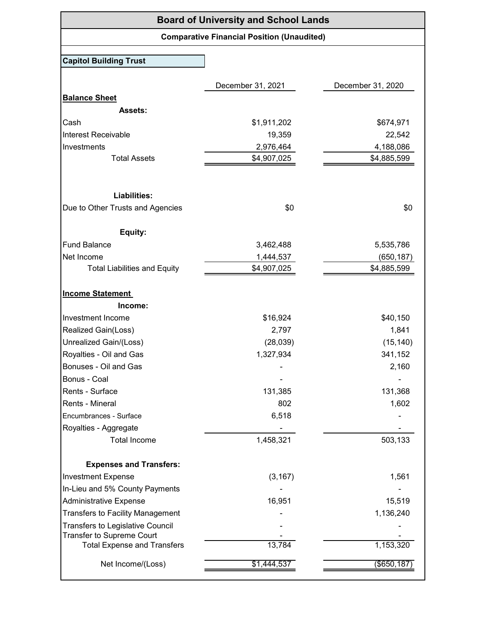| <b>Board of University and School Lands</b> |                                                   |                   |
|---------------------------------------------|---------------------------------------------------|-------------------|
|                                             | <b>Comparative Financial Position (Unaudited)</b> |                   |
| <b>Capitol Building Trust</b>               |                                                   |                   |
|                                             |                                                   |                   |
|                                             | December 31, 2021                                 | December 31, 2020 |
| <b>Balance Sheet</b>                        |                                                   |                   |
| <b>Assets:</b>                              |                                                   |                   |
| Cash                                        | \$1,911,202                                       | \$674,971         |
| Interest Receivable                         | 19,359                                            | 22,542            |
| Investments                                 | 2,976,464                                         | 4,188,086         |
| <b>Total Assets</b>                         | \$4,907,025                                       | \$4,885,599       |
|                                             |                                                   |                   |
| <b>Liabilities:</b>                         |                                                   |                   |
| Due to Other Trusts and Agencies            | \$0                                               | \$0               |
| Equity:                                     |                                                   |                   |
| <b>Fund Balance</b>                         | 3,462,488                                         | 5,535,786         |
| Net Income                                  | 1,444,537                                         | (650,187)         |
| <b>Total Liabilities and Equity</b>         | \$4,907,025                                       | \$4,885,599       |
| <b>Income Statement</b>                     |                                                   |                   |
| Income:                                     |                                                   |                   |
| Investment Income                           | \$16,924                                          | \$40,150          |
| Realized Gain(Loss)                         | 2,797                                             | 1,841             |
| Unrealized Gain/(Loss)                      | (28,039)                                          | (15, 140)         |
| Royalties - Oil and Gas                     | 1,327,934                                         | 341,152           |
| Bonuses - Oil and Gas                       |                                                   | 2,160             |
| Bonus - Coal                                |                                                   |                   |
| Rents - Surface                             | 131,385                                           | 131,368           |
| Rents - Mineral                             | 802                                               | 1,602             |
| Encumbrances - Surface                      | 6,518                                             |                   |
| Royalties - Aggregate                       |                                                   |                   |
| <b>Total Income</b>                         | 1,458,321                                         | 503,133           |
| <b>Expenses and Transfers:</b>              |                                                   |                   |
| <b>Investment Expense</b>                   | (3, 167)                                          | 1,561             |
| In-Lieu and 5% County Payments              |                                                   |                   |
| <b>Administrative Expense</b>               | 16,951                                            | 15,519            |
| <b>Transfers to Facility Management</b>     |                                                   | 1,136,240         |
| <b>Transfers to Legislative Council</b>     |                                                   |                   |
| Transfer to Supreme Court                   |                                                   |                   |
| <b>Total Expense and Transfers</b>          | 13,784                                            | 1,153,320         |
| Net Income/(Loss)                           | \$1,444,537                                       | $($ \$650,187     |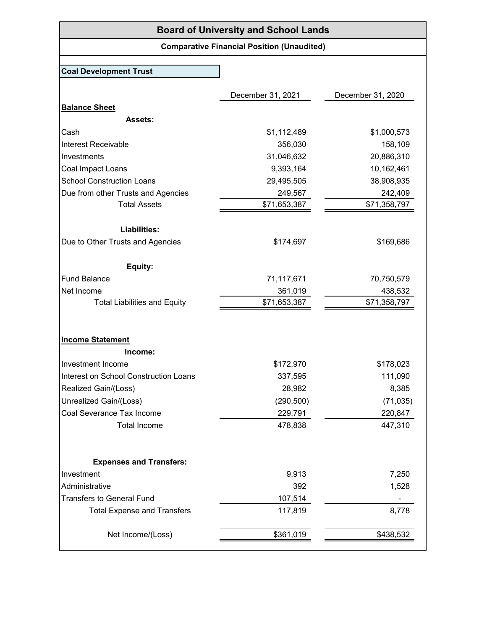# **Board of University and School Lands**

# **Comparative Financial Position (Unaudited)**

## **Coal Development Trust**

|                                       | December 31, 2021 | December 31, 2020 |
|---------------------------------------|-------------------|-------------------|
| <b>Balance Sheet</b>                  |                   |                   |
| Assets:                               |                   |                   |
| Cash                                  | \$1,112,489       | \$1,000,573       |
| Interest Receivable                   | 356,030           | 158,109           |
| Investments                           | 31,046,632        | 20,886,310        |
| Coal Impact Loans                     | 9,393,164         | 10,162,461        |
| <b>School Construction Loans</b>      | 29,495,505        | 38,908,935        |
| Due from other Trusts and Agencies    | 249,567           | 242,409           |
| <b>Total Assets</b>                   | \$71,653,387      | \$71,358,797      |
| Liabilities:                          |                   |                   |
| Due to Other Trusts and Agencies      | \$174,697         | \$169,686         |
| Equity:                               |                   |                   |
| <b>Fund Balance</b>                   | 71,117,671        | 70,750,579        |
| Net Income                            | 361,019           | 438,532           |
| <b>Total Liabilities and Equity</b>   | \$71,653,387      | \$71,358,797      |
| <b>Income Statement</b>               |                   |                   |
| Income:                               |                   |                   |
| Investment Income                     | \$172,970         | \$178,023         |
| Interest on School Construction Loans | 337,595           | 111,090           |
| Realized Gain/(Loss)                  | 28,982            | 8,385             |
| Unrealized Gain/(Loss)                | (290, 500)        | (71, 035)         |
| Coal Severance Tax Income             | 229,791           | 220,847           |
| <b>Total Income</b>                   | 478,838           | 447,310           |
|                                       |                   |                   |
| <b>Expenses and Transfers:</b>        |                   |                   |
| Investment                            | 9,913             | 7,250             |
| Administrative                        | 392               | 1,528             |
| <b>Transfers to General Fund</b>      | 107,514           |                   |
| <b>Total Expense and Transfers</b>    | 117,819           | 8,778             |
| Net Income/(Loss)                     | \$361,019         | \$438,532         |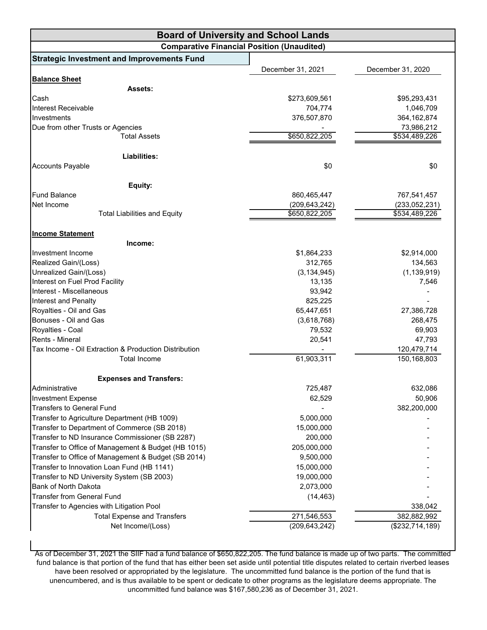| <b>Board of University and School Lands</b>           |                   |                   |
|-------------------------------------------------------|-------------------|-------------------|
| <b>Comparative Financial Position (Unaudited)</b>     |                   |                   |
| <b>Strategic Investment and Improvements Fund</b>     |                   |                   |
|                                                       | December 31, 2021 | December 31, 2020 |
| <b>Balance Sheet</b>                                  |                   |                   |
| <b>Assets:</b>                                        |                   |                   |
| Cash                                                  | \$273,609,561     | \$95,293,431      |
| Interest Receivable                                   | 704,774           | 1,046,709         |
| Investments                                           | 376,507,870       | 364, 162, 874     |
| Due from other Trusts or Agencies                     |                   | 73,986,212        |
| <b>Total Assets</b>                                   | \$650,822,205     | \$534,489,226     |
| Liabilities:                                          |                   |                   |
| <b>Accounts Payable</b>                               | \$0               | \$0               |
|                                                       |                   |                   |
| Equity:                                               |                   |                   |
| <b>Fund Balance</b>                                   | 860,465,447       | 767,541,457       |
| Net Income                                            | (209, 643, 242)   | (233,052,231)     |
| <b>Total Liabilities and Equity</b>                   | \$650,822,205     | \$534,489,226     |
| <b>Income Statement</b>                               |                   |                   |
| Income:                                               |                   |                   |
| Investment Income                                     | \$1,864,233       | \$2,914,000       |
| Realized Gain/(Loss)                                  | 312,765           | 134,563           |
| Unrealized Gain/(Loss)                                | (3, 134, 945)     | (1, 139, 919)     |
| Interest on Fuel Prod Facility                        | 13,135            | 7,546             |
| Interest - Miscellaneous                              | 93,942            |                   |
| Interest and Penalty                                  | 825,225           |                   |
| Royalties - Oil and Gas                               | 65,447,651        | 27,386,728        |
| Bonuses - Oil and Gas                                 | (3,618,768)       | 268,475           |
| Royalties - Coal                                      | 79,532            | 69,903            |
| Rents - Mineral                                       | 20,541            | 47,793            |
| Tax Income - Oil Extraction & Production Distribution |                   | 120,479,714       |
| <b>Total Income</b>                                   | 61,903,311        | 150,168,803       |
| <b>Expenses and Transfers:</b>                        |                   |                   |
| Administrative                                        | 725,487           | 632,086           |
| <b>Investment Expense</b>                             | 62,529            | 50,906            |
| <b>Transfers to General Fund</b>                      |                   | 382,200,000       |
| Transfer to Agriculture Department (HB 1009)          | 5,000,000         |                   |
| Transfer to Department of Commerce (SB 2018)          | 15,000,000        |                   |
| Transfer to ND Insurance Commissioner (SB 2287)       | 200,000           |                   |
| Transfer to Office of Management & Budget (HB 1015)   | 205,000,000       |                   |
| Transfer to Office of Management & Budget (SB 2014)   | 9,500,000         |                   |
| Transfer to Innovation Loan Fund (HB 1141)            | 15,000,000        |                   |
| Transfer to ND University System (SB 2003)            | 19,000,000        |                   |
| Bank of North Dakota                                  | 2,073,000         |                   |
| <b>Transfer from General Fund</b>                     | (14, 463)         |                   |
| Transfer to Agencies with Litigation Pool             |                   | 338,042           |
| <b>Total Expense and Transfers</b>                    | 271,546,553       | 382,882,992       |
| Net Income/(Loss)                                     | (209, 643, 242)   | (\$232,714,189)   |
|                                                       |                   |                   |

As of December 31, 2021 the SIIF had a fund balance of \$650,822,205. The fund balance is made up of two parts. The committed fund balance is that portion of the fund that has either been set aside until potential title disputes related to certain riverbed leases have been resolved or appropriated by the legislature. The uncommitted fund balance is the portion of the fund that is unencumbered, and is thus available to be spent or dedicate to other programs as the legislature deems appropriate. The uncommitted fund balance was \$167,580,236 as of December 31, 2021.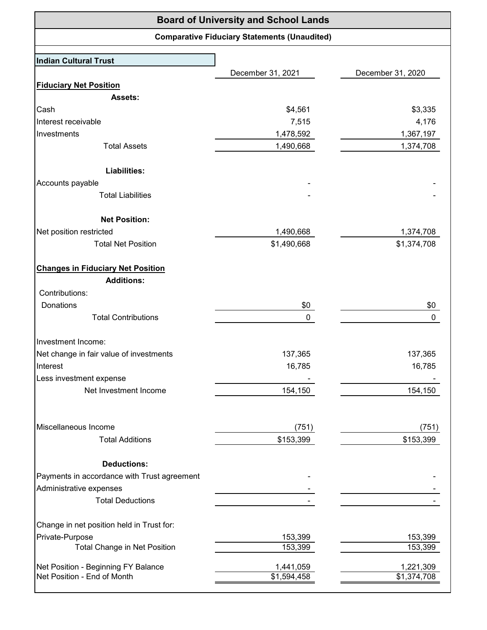| <b>Board of University and School Lands</b> |                                                     |                   |
|---------------------------------------------|-----------------------------------------------------|-------------------|
|                                             | <b>Comparative Fiduciary Statements (Unaudited)</b> |                   |
| Indian Cultural Trust                       |                                                     |                   |
|                                             | December 31, 2021                                   | December 31, 2020 |
| <b>Fiduciary Net Position</b>               |                                                     |                   |
| <b>Assets:</b>                              |                                                     |                   |
| Cash                                        | \$4,561                                             | \$3,335           |
| Interest receivable                         | 7,515                                               | 4,176             |
| Investments                                 | 1,478,592                                           | 1,367,197         |
| <b>Total Assets</b>                         | 1,490,668                                           | 1,374,708         |
| Liabilities:                                |                                                     |                   |
| Accounts payable                            |                                                     |                   |
| <b>Total Liabilities</b>                    |                                                     |                   |
| <b>Net Position:</b>                        |                                                     |                   |
| Net position restricted                     | 1,490,668                                           | 1,374,708         |
| <b>Total Net Position</b>                   | \$1,490,668                                         | \$1,374,708       |
| <b>Changes in Fiduciary Net Position</b>    |                                                     |                   |
| <b>Additions:</b>                           |                                                     |                   |
| Contributions:                              |                                                     |                   |
| Donations                                   | \$0                                                 | \$0               |
| <b>Total Contributions</b>                  | 0                                                   | 0                 |
| Investment Income:                          |                                                     |                   |
| Net change in fair value of investments     | 137,365                                             | 137,365           |
| Interest                                    | 16,785                                              | 16,785            |
| Less investment expense                     |                                                     |                   |
| Net Investment Income                       | 154,150                                             | 154,150           |
|                                             |                                                     |                   |
| Miscellaneous Income                        | (751)                                               | (751)             |
| <b>Total Additions</b>                      | \$153,399                                           | \$153,399         |
| <b>Deductions:</b>                          |                                                     |                   |
| Payments in accordance with Trust agreement |                                                     |                   |
| Administrative expenses                     |                                                     |                   |
| <b>Total Deductions</b>                     |                                                     |                   |
| Change in net position held in Trust for:   |                                                     |                   |
| Private-Purpose                             | 153,399                                             | 153,399           |
| <b>Total Change in Net Position</b>         | 153,399                                             | 153,399           |
| Net Position - Beginning FY Balance         | 1,441,059                                           | 1,221,309         |
| Net Position - End of Month                 | \$1,594,458                                         | \$1,374,708       |